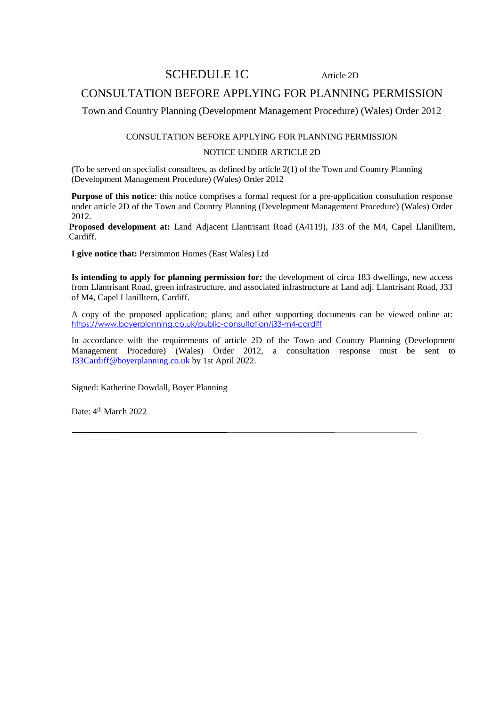### SCHEDULE 1C Article 2D

## CONSULTATION BEFORE APPLYING FOR PLANNING PERMISSION

Town and Country Planning (Development Management Procedure) (Wales) Order 2012

#### CONSULTATION BEFORE APPLYING FOR PLANNING PERMISSION NOTICE UNDER ARTICLE 2D

(To be served on specialist consultees, as defined by article 2(1) of the Town and Country Planning (Development Management Procedure) (Wales) Order 2012

**Purpose of this notice**: this notice comprises a formal request for a pre-application consultation response under article 2D of the Town and Country Planning (Development Management Procedure) (Wales) Order 2012.

**Proposed development at:** Land Adjacent Llantrisant Road (A4119), J33 of the M4, Capel Llanilltern, Cardiff.

**I give notice that:** Persimmon Homes (East Wales) Ltd

**Is intending to apply for planning permission for:** the development of circa 183 dwellings, new access from Llantrisant Road, green infrastructure, and associated infrastructure at Land adj. Llantrisant Road, J33 of M4, Capel Llanilltern, Cardiff.

A copy of the proposed application; plans; and other supporting documents can be viewed online at: <https://www.boyerplanning.co.uk/public-consultation/j33-m4-cardiff>

In accordance with the requirements of article 2D of the Town and Country Planning (Development Management Procedure) (Wales) Order 2012, a consultation response must be sent to [J33Cardiff@boyerplanning.co.uk](mailto:J33Cardiff@boyerplanning.co.uk) by 1st April 2022.

Signed: Katherine Dowdall, Boyer Planning

Date: 4<sup>th</sup> March 2022